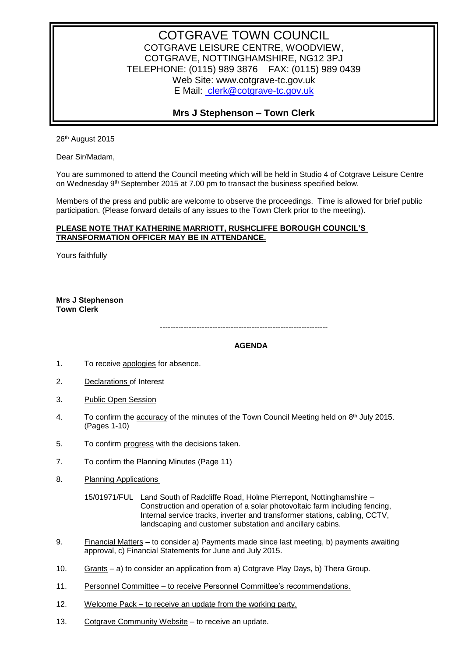## COTGRAVE TOWN COUNCIL COTGRAVE LEISURE CENTRE, WOODVIEW, COTGRAVE, NOTTINGHAMSHIRE, NG12 3PJ TELEPHONE: (0115) 989 3876 FAX: (0115) 989 0439 Web Site: www.cotgrave-tc.gov.uk E Mail: [clerk@cotgrave-tc.gov.uk](mailto:clerk@cotgrave-tc.gov.uk)

## **Mrs J Stephenson – Town Clerk**

26th August 2015

Dear Sir/Madam,

You are summoned to attend the Council meeting which will be held in Studio 4 of Cotgrave Leisure Centre on Wednesday 9<sup>th</sup> September 2015 at 7.00 pm to transact the business specified below.

Members of the press and public are welcome to observe the proceedings. Time is allowed for brief public participation. (Please forward details of any issues to the Town Clerk prior to the meeting).

## **PLEASE NOTE THAT KATHERINE MARRIOTT, RUSHCLIFFE BOROUGH COUNCIL'S TRANSFORMATION OFFICER MAY BE IN ATTENDANCE.**

Yours faithfully

**Mrs J Stephenson Town Clerk**

----------------------------------------------------------------

## **AGENDA**

- 1. To receive apologies for absence.
- 2. Declarations of Interest
- 3. Public Open Session
- 4. To confirm the accuracy of the minutes of the Town Council Meeting held on 8<sup>th</sup> July 2015. (Pages 1-10)
- 5. To confirm progress with the decisions taken.
- 7. To confirm the Planning Minutes (Page 11)
- 8. Planning Applications

15/01971/FUL Land South of Radcliffe Road, Holme Pierrepont, Nottinghamshire – Construction and operation of a solar photovoltaic farm including fencing, Internal service tracks, inverter and transformer stations, cabling, CCTV, landscaping and customer substation and ancillary cabins.

- 9. Financial Matters to consider a) Payments made since last meeting, b) payments awaiting approval, c) Financial Statements for June and July 2015.
- 10. Grants a) to consider an application from a) Cotgrave Play Days, b) Thera Group.
- 11. Personnel Committee to receive Personnel Committee's recommendations.
- 12. Welcome Pack to receive an update from the working party.
- 13. Cotgrave Community Website to receive an update.